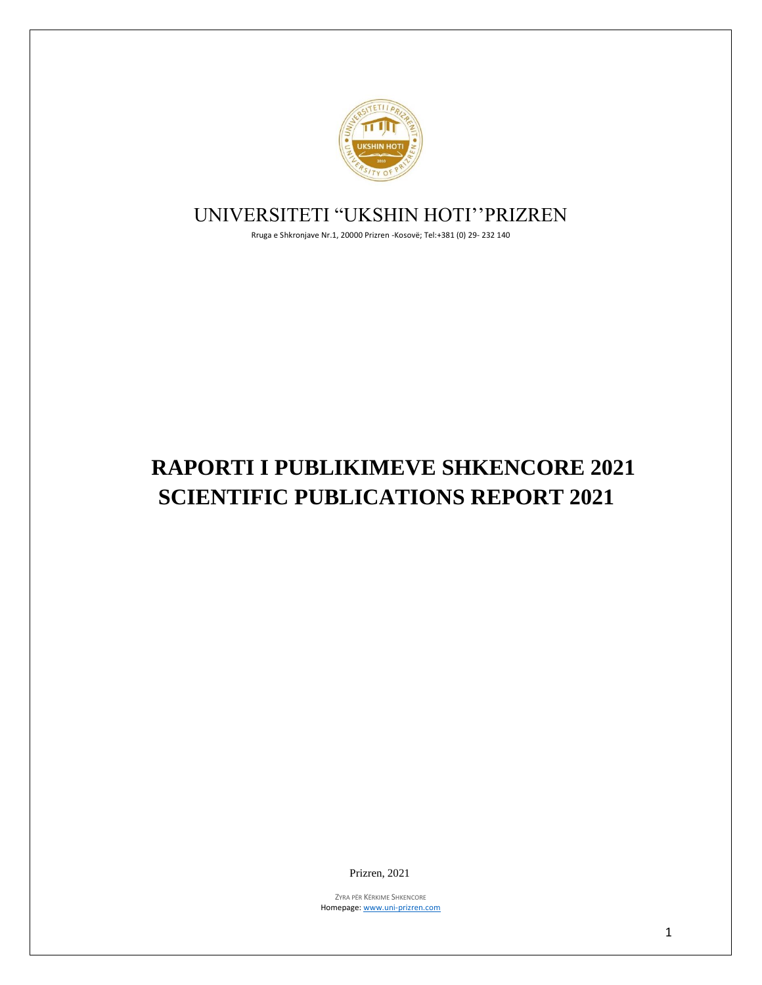

## UNIVERSITETI "UKSHIN HOTI''PRIZREN

Rruga e Shkronjave Nr.1, 20000 Prizren -Kosovë; Tel:+381 (0) 29- 232 140

# **RAPORTI I PUBLIKIMEVE SHKENCORE 2021 SCIENTIFIC PUBLICATIONS REPORT 2021**

Prizren, 2021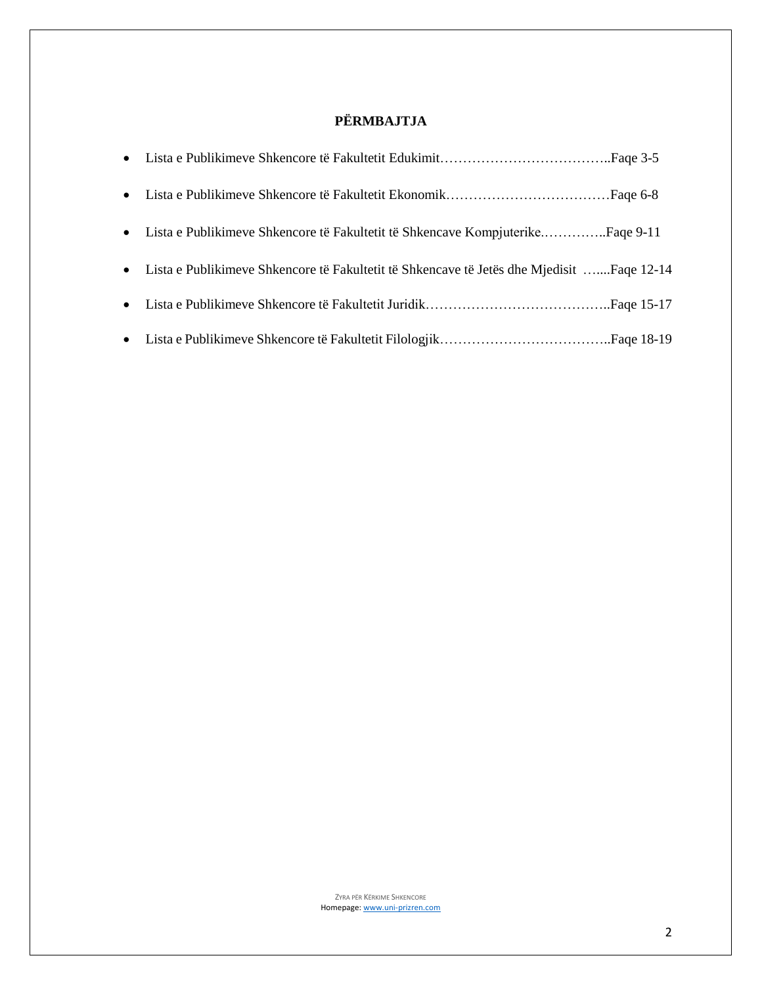### **PËRMBAJTJA**

| • Lista e Publikimeve Shkencore të Fakultetit të Shkencave Kompjuterike Faqe 9-11           |  |
|---------------------------------------------------------------------------------------------|--|
| • Lista e Publikimeve Shkencore të Fakultetit të Shkencave të Jetës dhe Mjedisit Faqe 12-14 |  |
|                                                                                             |  |
|                                                                                             |  |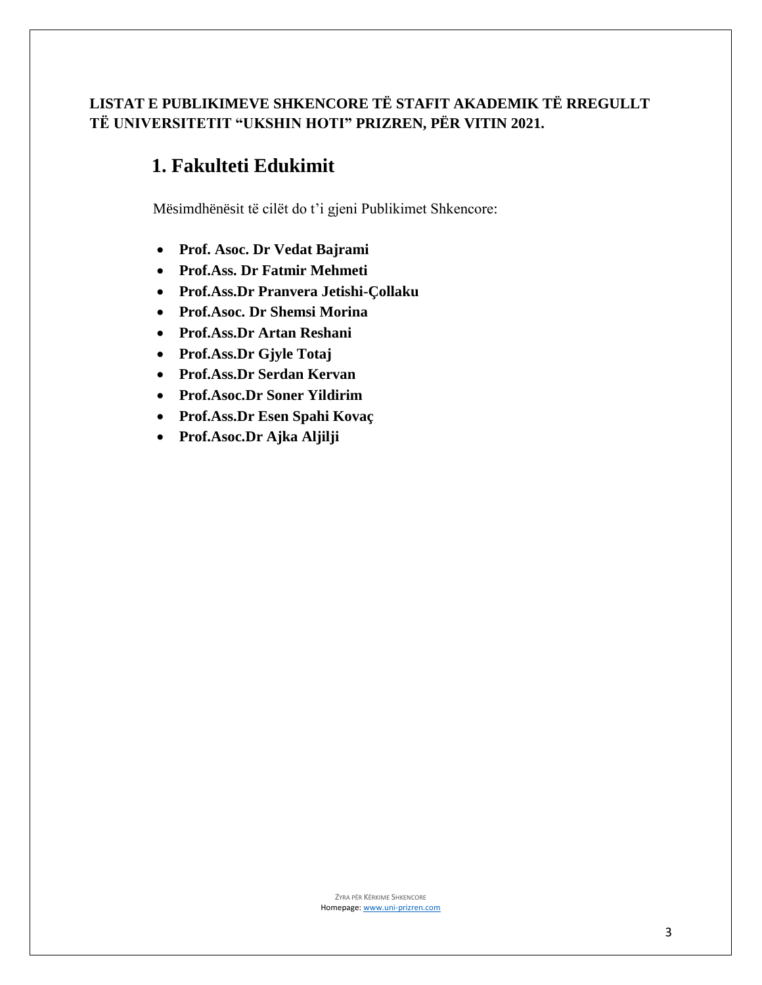### **LISTAT E PUBLIKIMEVE SHKENCORE TË STAFIT AKADEMIK TË RREGULLT TË UNIVERSITETIT "UKSHIN HOTI" PRIZREN, PËR VITIN 2021.**

## **1. Fakulteti Edukimit**

Mësimdhënësit të cilët do t'i gjeni Publikimet Shkencore:

- **Prof. Asoc. Dr Vedat Bajrami**
- **Prof.Ass. Dr Fatmir Mehmeti**
- **Prof.Ass.Dr Pranvera Jetishi-Çollaku**
- **Prof.Asoc. Dr Shemsi Morina**
- **Prof.Ass.Dr Artan Reshani**
- **Prof.Ass.Dr Gjyle Totaj**
- **Prof.Ass.Dr Serdan Kervan**
- **Prof.Asoc.Dr Soner Yildirim**
- **Prof.Ass.Dr Esen Spahi Kovaç**
- **Prof.Asoc.Dr Ajka Aljilji**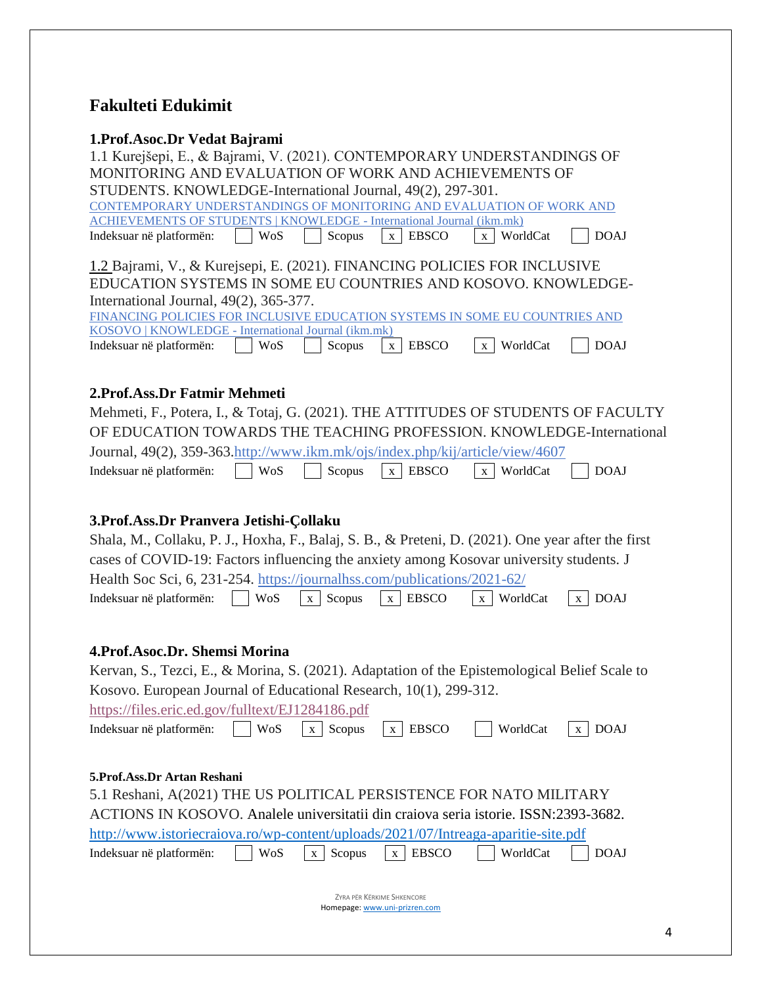## **Fakulteti Edukimit**

### **1.Prof.Asoc.Dr Vedat Bajrami**

| T.PT01.AS0C.DT Vegat Daji'aliil<br>1.1 Kurejšepi, E., & Bajrami, V. (2021). CONTEMPORARY UNDERSTANDINGS OF                                 |  |  |  |  |  |  |  |  |  |
|--------------------------------------------------------------------------------------------------------------------------------------------|--|--|--|--|--|--|--|--|--|
| MONITORING AND EVALUATION OF WORK AND ACHIEVEMENTS OF                                                                                      |  |  |  |  |  |  |  |  |  |
| STUDENTS. KNOWLEDGE-International Journal, 49(2), 297-301.                                                                                 |  |  |  |  |  |  |  |  |  |
| CONTEMPORARY UNDERSTANDINGS OF MONITORING AND EVALUATION OF WORK AND                                                                       |  |  |  |  |  |  |  |  |  |
| <b>ACHIEVEMENTS OF STUDENTS   KNOWLEDGE - International Journal (ikm.mk)</b>                                                               |  |  |  |  |  |  |  |  |  |
| <b>DOAJ</b><br>Indeksuar në platformën:<br>WoS<br>Scopus<br>WorldCat<br>$\mathbf{x}$<br><b>EBSCO</b><br>$\mathbf{X}$                       |  |  |  |  |  |  |  |  |  |
| 1.2 Bajrami, V., & Kurejsepi, E. (2021). FINANCING POLICIES FOR INCLUSIVE<br>EDUCATION SYSTEMS IN SOME EU COUNTRIES AND KOSOVO. KNOWLEDGE- |  |  |  |  |  |  |  |  |  |
| International Journal, 49(2), 365-377.<br>FINANCING POLICIES FOR INCLUSIVE EDUCATION SYSTEMS IN SOME EU COUNTRIES AND                      |  |  |  |  |  |  |  |  |  |
| KOSOVO   KNOWLEDGE - International Journal (ikm.mk)                                                                                        |  |  |  |  |  |  |  |  |  |
| Indeksuar në platformën:<br>WoS<br><b>EBSCO</b><br>WorldCat<br><b>DOAJ</b><br>Scopus<br>$\mathbf{X}$<br>$\mathbf{X}$                       |  |  |  |  |  |  |  |  |  |
| 2. Prof. Ass. Dr Fatmir Mehmeti                                                                                                            |  |  |  |  |  |  |  |  |  |
| Mehmeti, F., Potera, I., & Totaj, G. (2021). THE ATTITUDES OF STUDENTS OF FACULTY                                                          |  |  |  |  |  |  |  |  |  |
| OF EDUCATION TOWARDS THE TEACHING PROFESSION. KNOWLEDGE-International                                                                      |  |  |  |  |  |  |  |  |  |
| Journal, 49(2), 359-363.http://www.ikm.mk/ojs/index.php/kij/article/view/4607                                                              |  |  |  |  |  |  |  |  |  |
| Indeksuar në platformën:<br><b>EBSCO</b><br>WorldCat<br><b>DOAJ</b><br>WoS<br>Scopus<br>$\mathbf X$<br>$\mathbf X$                         |  |  |  |  |  |  |  |  |  |
|                                                                                                                                            |  |  |  |  |  |  |  |  |  |
| 3. Prof. Ass. Dr Pranvera Jetishi-Çollaku                                                                                                  |  |  |  |  |  |  |  |  |  |
| Shala, M., Collaku, P. J., Hoxha, F., Balaj, S. B., & Preteni, D. (2021). One year after the first                                         |  |  |  |  |  |  |  |  |  |
| cases of COVID-19: Factors influencing the anxiety among Kosovar university students. J                                                    |  |  |  |  |  |  |  |  |  |
| Health Soc Sci, 6, 231-254. https://journalhss.com/publications/2021-62/                                                                   |  |  |  |  |  |  |  |  |  |
| <b>WoS</b><br>WorldCat                                                                                                                     |  |  |  |  |  |  |  |  |  |
| Scopus<br><b>EBSCO</b><br><b>DOAJ</b><br>Indeksuar në platformën:<br>$\mathbf X$<br>$\mathbf{X}$<br>$\mathbf{X}$<br>X                      |  |  |  |  |  |  |  |  |  |
|                                                                                                                                            |  |  |  |  |  |  |  |  |  |
| 4. Prof. Asoc. Dr. Shemsi Morina                                                                                                           |  |  |  |  |  |  |  |  |  |
| Kervan, S., Tezci, E., & Morina, S. (2021). Adaptation of the Epistemological Belief Scale to                                              |  |  |  |  |  |  |  |  |  |
| Kosovo. European Journal of Educational Research, 10(1), 299-312.                                                                          |  |  |  |  |  |  |  |  |  |
| https://files.eric.ed.gov/fulltext/EJ1284186.pdf                                                                                           |  |  |  |  |  |  |  |  |  |
| WoS<br>WorldCat<br>Indeksuar në platformën:<br>Scopus<br><b>EBSCO</b><br><b>DOAJ</b><br>$\mathbf{X}$<br>X<br>$\mathbf{X}$                  |  |  |  |  |  |  |  |  |  |
|                                                                                                                                            |  |  |  |  |  |  |  |  |  |
| 5. Prof. Ass. Dr Artan Reshani                                                                                                             |  |  |  |  |  |  |  |  |  |
| 5.1 Reshani, A(2021) THE US POLITICAL PERSISTENCE FOR NATO MILITARY                                                                        |  |  |  |  |  |  |  |  |  |
| ACTIONS IN KOSOVO. Analele universitatii din craiova seria istorie. ISSN:2393-3682.                                                        |  |  |  |  |  |  |  |  |  |
| http://www.istoriecraiova.ro/wp-content/uploads/2021/07/Intreaga-aparitie-site.pdf                                                         |  |  |  |  |  |  |  |  |  |
| <b>EBSCO</b><br>Indeksuar në platformën:<br>WoS<br>Scopus<br>WorldCat<br><b>DOAJ</b><br>$\mathbf X$<br>X                                   |  |  |  |  |  |  |  |  |  |
|                                                                                                                                            |  |  |  |  |  |  |  |  |  |
| ZYRA PËR KËRKIME SHKENCORE<br>Homepage: www.uni-prizren.com                                                                                |  |  |  |  |  |  |  |  |  |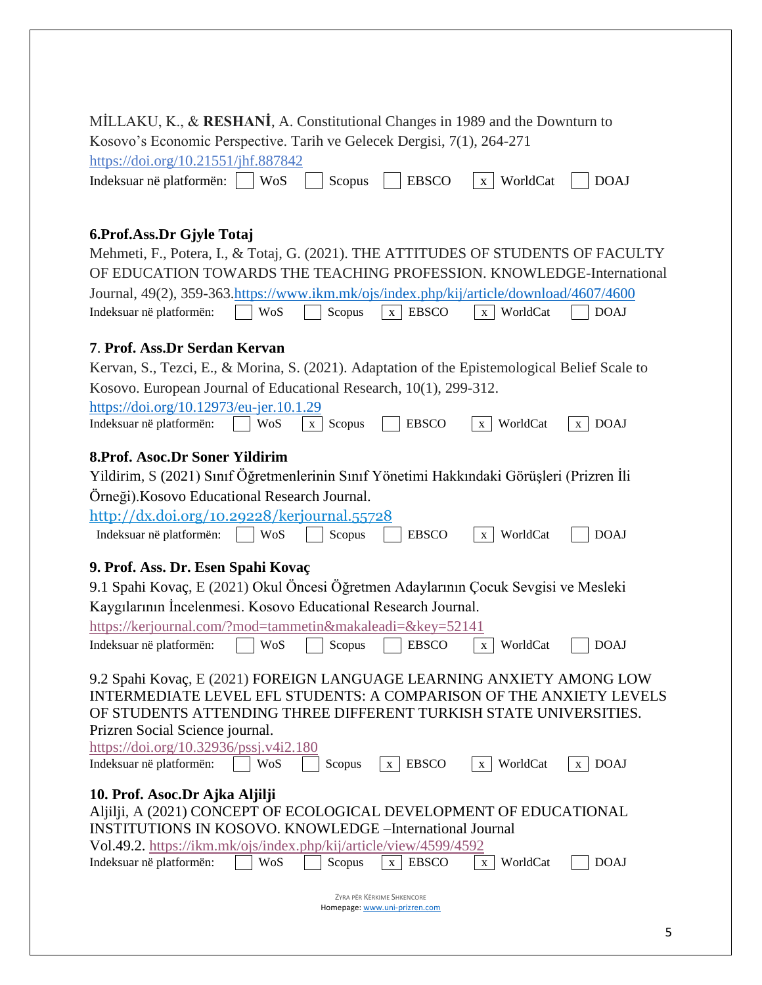| MİLLAKU, K., & RESHANİ, A. Constitutional Changes in 1989 and the Downturn to                                              |
|----------------------------------------------------------------------------------------------------------------------------|
| Kosovo's Economic Perspective. Tarih ve Gelecek Dergisi, 7(1), 264-271                                                     |
| https://doi.org/10.21551/jhf.887842<br>Indeksuar në platformën: WoS $\Box$ Scopus $\Box$ EBSCO $\Box$ WorldCat $\Box$ DOAJ |
|                                                                                                                            |
|                                                                                                                            |

#### **6.Prof.Ass.Dr Gjyle Totaj**

| Mehmeti, F., Potera, I., & Totaj, G. (2021). THE ATTITUDES OF STUDENTS OF FACULTY       |  |  |  |
|-----------------------------------------------------------------------------------------|--|--|--|
| OF EDUCATION TOWARDS THE TEACHING PROFESSION. KNOWLEDGE-International                   |  |  |  |
| Journal, 49(2), 359-363.https://www.ikm.mk/ojs/index.php/kij/article/download/4607/4600 |  |  |  |
| Indeksuar në platformën: WoS $\Box$ Scopus $\Box x$ EBSCO $\Box x$ WorldCat $\Box$ DOAJ |  |  |  |

#### **7**. **Prof. Ass.Dr Serdan Kervan**

| Kervan, S., Tezci, E., & Morina, S. (2021). Adaptation of the Epistemological Belief Scale to |
|-----------------------------------------------------------------------------------------------|
| Kosovo. European Journal of Educational Research, 10(1), 299-312.                             |
| https://doi.org/10.12973/eu-jer.10.1.29                                                       |

| Indeksuar në platformën: |  | $WoS$ $x \mid$ Scopus | EBSCO | $\vert x \vert$ WorldCat $\vert x \vert$ DOAJ |  |
|--------------------------|--|-----------------------|-------|-----------------------------------------------|--|

#### **8.Prof. Asoc.Dr Soner Yildirim**

Yildirim, S (2021) Sınıf Öğretmenlerinin Sınıf Yönetimi Hakkındaki Görüşleri (Prizren İli Örneği).Kosovo Educational Research Journal.

| http://dx.doi.org/10.29228/kerjournal.55728              |  |  |  |
|----------------------------------------------------------|--|--|--|
| Indeksuar në platformën: WoS Scopus BSCO x WorldCat DOAJ |  |  |  |

#### **9. Prof. Ass. Dr. Esen Spahi Kovaç**

| 9.1 Spahi Kovaç, E (2021) Okul Öncesi Öğretmen Adaylarının Çocuk Sevgisi ve Mesleki |
|-------------------------------------------------------------------------------------|
| Kaygilarinin Incelenmesi. Kosovo Educational Research Journal.                      |

| https://kerjournal.com/?mod=tammetin&makaleadi=&key=52141 |  |                             |      |
|-----------------------------------------------------------|--|-----------------------------|------|
| Indeksuar në platformën:                                  |  | Wos Scopus BBSCO x WorldCat | DOAJ |

9.2 Spahi Kovaç, E (2021) FOREIGN LANGUAGE LEARNING ANXIETY AMONG LOW INTERMEDIATE LEVEL EFL STUDENTS: A COMPARISON OF THE ANXIETY LEVELS OF STUDENTS ATTENDING THREE DIFFERENT TURKISH STATE UNIVERSITIES. Prizren Social Science journal.

| https://doi.org/10.32936/pssj.v4i2.180                                                                               |                                                                    |        |                   |                          |                             |  |  |  |  |  |
|----------------------------------------------------------------------------------------------------------------------|--------------------------------------------------------------------|--------|-------------------|--------------------------|-----------------------------|--|--|--|--|--|
| Indeksuar në platformën:                                                                                             | WoS                                                                | Scopus | <b>EBSCO</b><br>X | WorldCat<br>$\mathbf{X}$ | <b>DOAJ</b><br>$\mathbf{X}$ |  |  |  |  |  |
| 10. Prof. Asoc.Dr Ajka Aljilji                                                                                       |                                                                    |        |                   |                          |                             |  |  |  |  |  |
|                                                                                                                      | Aljilji, A (2021) CONCEPT OF ECOLOGICAL DEVELOPMENT OF EDUCATIONAL |        |                   |                          |                             |  |  |  |  |  |
| <b>INSTITUTIONS IN KOSOVO. KNOWLEDGE –International Journal</b>                                                      |                                                                    |        |                   |                          |                             |  |  |  |  |  |
| Vol.49.2. https://ikm.mk/ojs/index.php/kij/article/view/4599/4592                                                    |                                                                    |        |                   |                          |                             |  |  |  |  |  |
| <b>EBSCO</b><br>WoS<br>WorldCat<br><b>DOAJ</b><br>Indeksuar në platformën:<br>Scopus<br>$\mathbf{X}$<br>$\mathbf{x}$ |                                                                    |        |                   |                          |                             |  |  |  |  |  |
|                                                                                                                      |                                                                    |        |                   |                          |                             |  |  |  |  |  |
|                                                                                                                      | ZYRA PËR KËRKIME SHKENCORE                                         |        |                   |                          |                             |  |  |  |  |  |
| Homepage: www.uni-prizren.com                                                                                        |                                                                    |        |                   |                          |                             |  |  |  |  |  |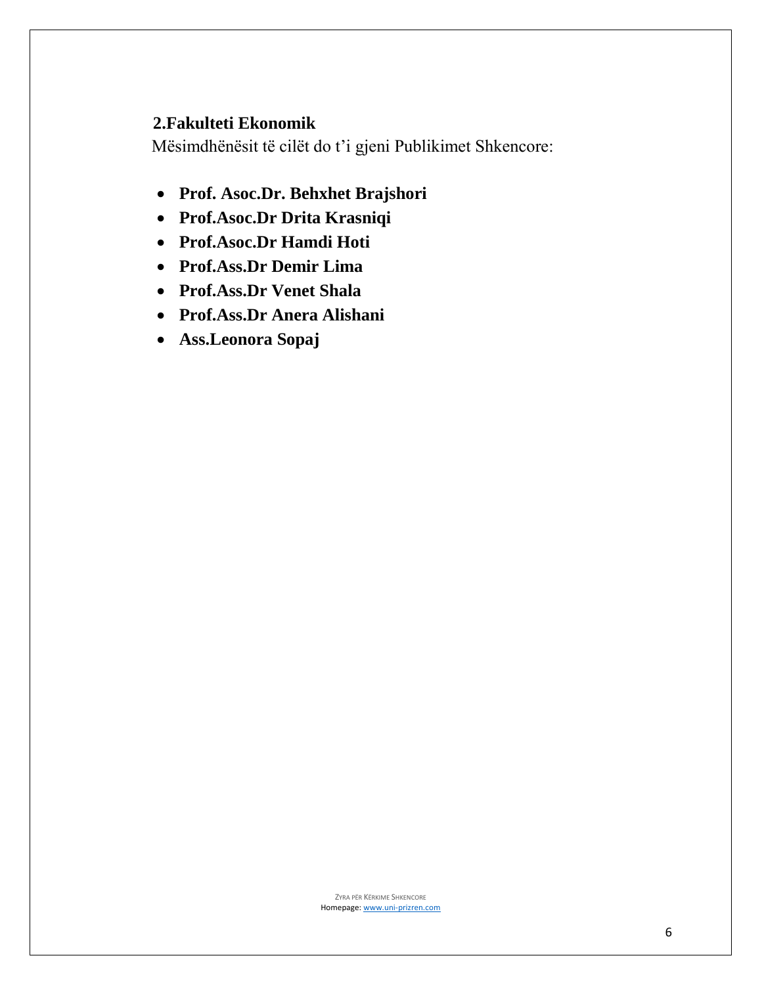### **2.Fakulteti Ekonomik**

Mësimdhënësit të cilët do t'i gjeni Publikimet Shkencore:

- **Prof. Asoc.Dr. Behxhet Brajshori**
- **Prof.Asoc.Dr Drita Krasniqi**
- **Prof.Asoc.Dr Hamdi Hoti**
- **Prof.Ass.Dr Demir Lima**
- **Prof.Ass.Dr Venet Shala**
- **Prof.Ass.Dr Anera Alishani**
- **Ass.Leonora Sopaj**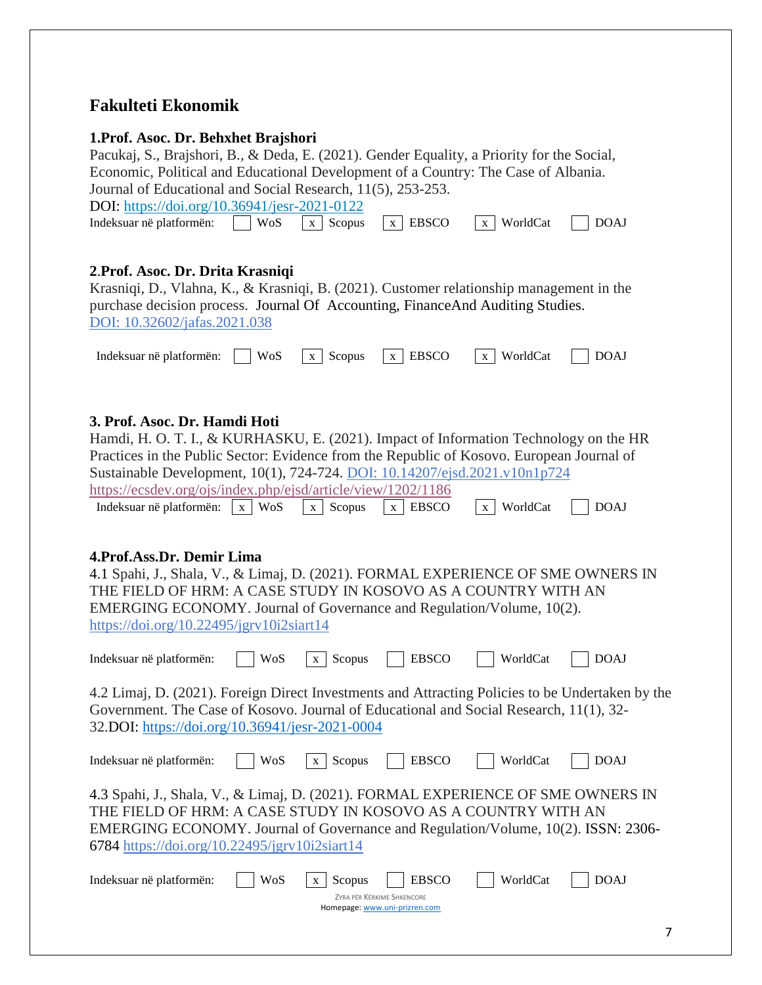### **Fakulteti Ekonomik**

#### **1.Prof. Asoc. Dr. Behxhet Brajshori**

Pacukaj, S., Brajshori, B., & Deda, E. (2021). Gender Equality, a Priority for the Social, Economic, Political and Educational Development of a Country: The Case of Albania. Journal of Educational and Social Research,  $11(5)$ , 253-253.<br>DOL: https://dai.org/10.26041/issn.2021.0122.

| DOI: https://doi.org/10.36941/jesr-2021-0122                   |  |              |      |
|----------------------------------------------------------------|--|--------------|------|
| Indeksuar në platformën: $\Box$ WoS $\Box$ Scopus $\Box$ EBSCO |  | $x$ WorldCat | DOAJ |

#### **2**.**Prof. Asoc. Dr. Drita Krasniqi**

Krasniqi, D., Vlahna, K., & Krasniqi, B. (2021). Customer relationship management in the purchase decision process. Journal Of Accounting, FinanceAnd Auditing Studies. DOI: 10.32602/jafas.2021.038

| $\cdot$ .<br>Indeksuar në platformën: | $W_0S$<br>∪⊾ | $\mathbf{r}$<br>Scopus<br>. . | <b>EBSCC</b><br>$\mathbf{v}$ | <b>TTT</b><br>$11 \cap$<br>$\mathbf{v}$<br>$\mathbf{M}$<br>. . |  |
|---------------------------------------|--------------|-------------------------------|------------------------------|----------------------------------------------------------------|--|
|---------------------------------------|--------------|-------------------------------|------------------------------|----------------------------------------------------------------|--|

#### **3. Prof. Asoc. Dr. Hamdi Hoti**

|                                                                                                                                                                                    | э. 1 гот. жуус. Б. нашиг нош |                        |                                                             |                          |             |  |  |
|------------------------------------------------------------------------------------------------------------------------------------------------------------------------------------|------------------------------|------------------------|-------------------------------------------------------------|--------------------------|-------------|--|--|
| Hamdi, H. O. T. I., & KURHASKU, E. (2021). Impact of Information Technology on the HR<br>Practices in the Public Sector: Evidence from the Republic of Kosovo. European Journal of |                              |                        |                                                             |                          |             |  |  |
| Sustainable Development, 10(1), 724-724. DOI: 10.14207/ejsd.2021.v10n1p724                                                                                                         |                              |                        |                                                             |                          |             |  |  |
| https://ecsdev.org/ojs/index.php/ejsd/article/view/1202/1186                                                                                                                       |                              |                        |                                                             |                          |             |  |  |
| Indeksuar në platformën:                                                                                                                                                           | x WoS                        | Scopus<br>$\mathbf{X}$ | <b>EBSCO</b><br>$\mathbf X$                                 | WorldCat<br>$\mathbf{X}$ | <b>DOAJ</b> |  |  |
|                                                                                                                                                                                    |                              |                        |                                                             |                          |             |  |  |
|                                                                                                                                                                                    |                              |                        |                                                             |                          |             |  |  |
| 4. Prof. Ass. Dr. Demir Lima                                                                                                                                                       |                              |                        |                                                             |                          |             |  |  |
| 4.1 Spahi, J., Shala, V., & Limaj, D. (2021). FORMAL EXPERIENCE OF SME OWNERS IN                                                                                                   |                              |                        |                                                             |                          |             |  |  |
| THE FIELD OF HRM: A CASE STUDY IN KOSOVO AS A COUNTRY WITH AN                                                                                                                      |                              |                        |                                                             |                          |             |  |  |
| EMERGING ECONOMY. Journal of Governance and Regulation/Volume, 10(2).                                                                                                              |                              |                        |                                                             |                          |             |  |  |
| https://doi.org/10.22495/jgrv10i2siart14                                                                                                                                           |                              |                        |                                                             |                          |             |  |  |
|                                                                                                                                                                                    |                              |                        |                                                             |                          |             |  |  |
| Indeksuar në platformën:                                                                                                                                                           | WoS                          | Scopus<br>$\mathbf{X}$ | <b>EBSCO</b>                                                | WorldCat                 | <b>DOAJ</b> |  |  |
|                                                                                                                                                                                    |                              |                        |                                                             |                          |             |  |  |
| 4.2 Limaj, D. (2021). Foreign Direct Investments and Attracting Policies to be Undertaken by the                                                                                   |                              |                        |                                                             |                          |             |  |  |
| Government. The Case of Kosovo. Journal of Educational and Social Research, 11(1), 32-                                                                                             |                              |                        |                                                             |                          |             |  |  |
| 32.DOI: https://doi.org/10.36941/jesr-2021-0004                                                                                                                                    |                              |                        |                                                             |                          |             |  |  |
|                                                                                                                                                                                    |                              |                        |                                                             |                          |             |  |  |
|                                                                                                                                                                                    |                              |                        |                                                             |                          |             |  |  |
| Indeksuar në platformën:                                                                                                                                                           | <b>WoS</b>                   | Scopus<br>$\mathbf{X}$ | <b>EBSCO</b>                                                | WorldCat                 | <b>DOAJ</b> |  |  |
|                                                                                                                                                                                    |                              |                        |                                                             |                          |             |  |  |
| 4.3 Spahi, J., Shala, V., & Limaj, D. (2021). FORMAL EXPERIENCE OF SME OWNERS IN                                                                                                   |                              |                        |                                                             |                          |             |  |  |
| THE FIELD OF HRM: A CASE STUDY IN KOSOVO AS A COUNTRY WITH AN                                                                                                                      |                              |                        |                                                             |                          |             |  |  |
| EMERGING ECONOMY. Journal of Governance and Regulation/Volume, 10(2). ISSN: 2306-                                                                                                  |                              |                        |                                                             |                          |             |  |  |
| 6784 https://doi.org/10.22495/jgrv10i2siart14                                                                                                                                      |                              |                        |                                                             |                          |             |  |  |
|                                                                                                                                                                                    |                              |                        |                                                             |                          |             |  |  |
| Indeksuar në platformën:                                                                                                                                                           | WoS                          | Scopus<br>X            | <b>EBSCO</b>                                                | WorldCat                 | <b>DOAJ</b> |  |  |
|                                                                                                                                                                                    |                              |                        | ZYRA PËR KËRKIME SHKENCORE<br>Homepage: www.uni-prizren.com |                          |             |  |  |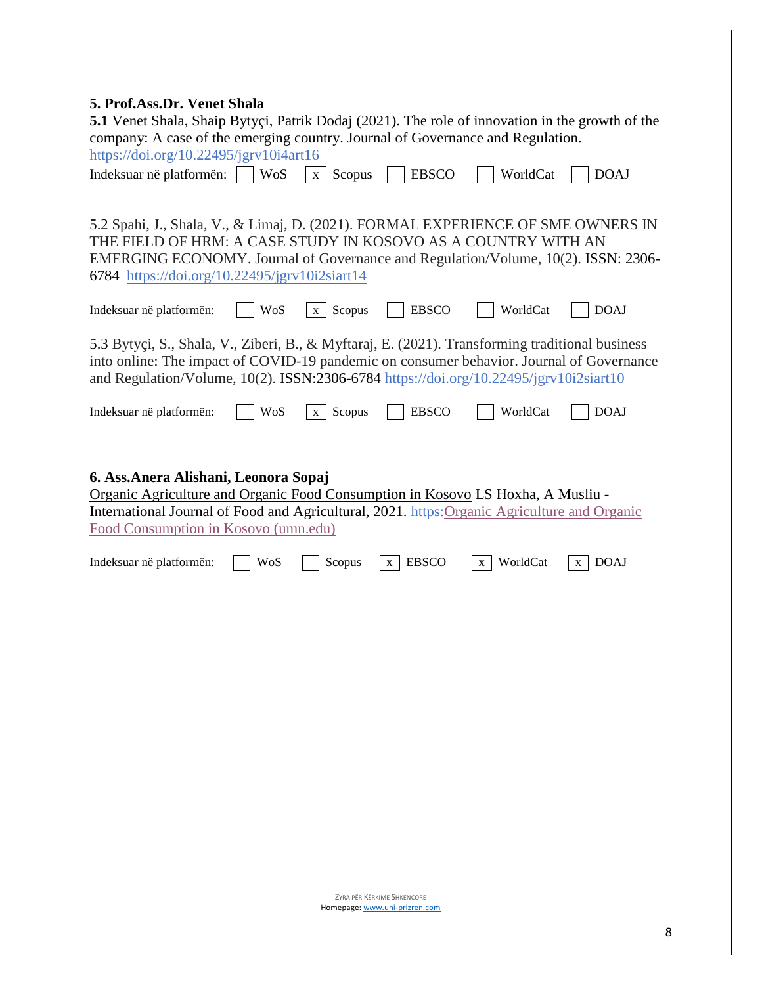| 5. Prof.Ass.Dr. Venet Shala<br><b>5.1</b> Venet Shala, Shaip Bytyci, Patrik Dodaj (2021). The role of innovation in the growth of the<br>company: A case of the emerging country. Journal of Governance and Regulation.<br>https://doi.org/10.22495/jgrv10i4art16<br>Indeksuar në platformën: | <b>WoS</b><br>Scopus<br>$\mathbf{x}$ | <b>EBSCO</b>      | WorldCat                 | <b>DOAJ</b>                 |
|-----------------------------------------------------------------------------------------------------------------------------------------------------------------------------------------------------------------------------------------------------------------------------------------------|--------------------------------------|-------------------|--------------------------|-----------------------------|
| 5.2 Spahi, J., Shala, V., & Limaj, D. (2021). FORMAL EXPERIENCE OF SME OWNERS IN<br>THE FIELD OF HRM: A CASE STUDY IN KOSOVO AS A COUNTRY WITH AN<br>EMERGING ECONOMY. Journal of Governance and Regulation/Volume, 10(2). ISSN: 2306-<br>6784 https://doi.org/10.22495/jgrv10i2siart14       |                                      |                   |                          |                             |
| Indeksuar në platformën:                                                                                                                                                                                                                                                                      | Scopus<br>WoS<br>$\mathbf{X}$        | <b>EBSCO</b>      | WorldCat                 | <b>DOAJ</b>                 |
| 5.3 Bytyci, S., Shala, V., Ziberi, B., & Myftaraj, E. (2021). Transforming traditional business<br>into online: The impact of COVID-19 pandemic on consumer behavior. Journal of Governance<br>and Regulation/Volume, 10(2). ISSN:2306-6784 https://doi.org/10.22495/jgrv10i2siart10          |                                      |                   |                          |                             |
| Indeksuar në platformën:                                                                                                                                                                                                                                                                      | <b>WoS</b><br>Scopus<br>$\mathbf{X}$ | <b>EBSCO</b>      | WorldCat                 | <b>DOAJ</b>                 |
| 6. Ass. Anera Alishani, Leonora Sopaj<br>Organic Agriculture and Organic Food Consumption in Kosovo LS Hoxha, A Musliu -<br>International Journal of Food and Agricultural, 2021. https: Organic Agriculture and Organic<br>Food Consumption in Kosovo (umn.edu)<br>Indeksuar në platformën:  | WoS<br>Scopus                        | <b>EBSCO</b><br>X | WorldCat<br>$\mathbf{X}$ | <b>DOAJ</b><br>$\mathbf{X}$ |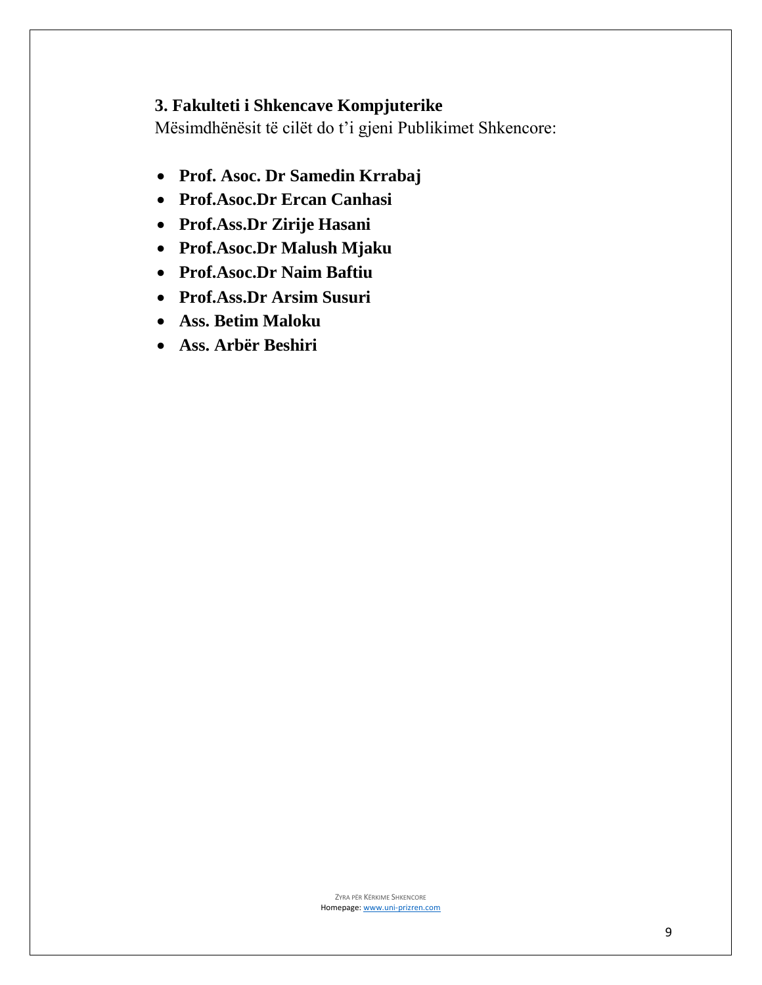## **3. Fakulteti i Shkencave Kompjuterike**

Mësimdhënësit të cilët do t'i gjeni Publikimet Shkencore:

- **Prof. Asoc. Dr Samedin Krrabaj**
- **Prof.Asoc.Dr Ercan Canhasi**
- **Prof.Ass.Dr Zirije Hasani**
- **Prof.Asoc.Dr Malush Mjaku**
- **Prof.Asoc.Dr Naim Baftiu**
- **Prof.Ass.Dr Arsim Susuri**
- **Ass. Betim Maloku**
- **Ass. Arbër Beshiri**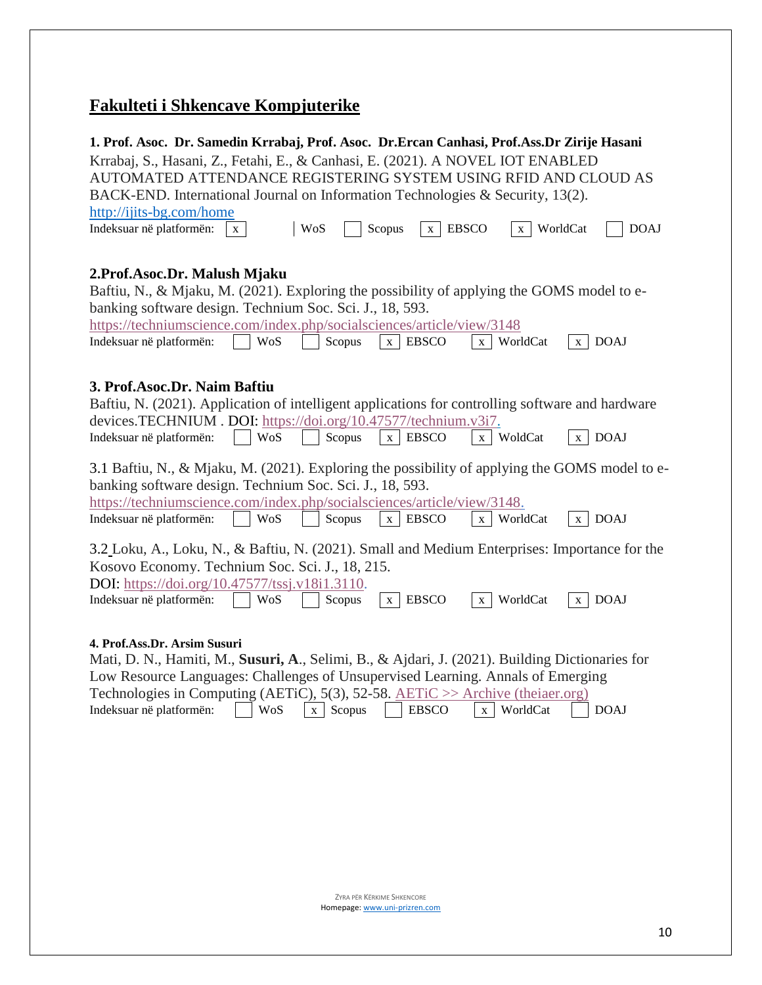# **Fakulteti i Shkencave Kompjuterike**

| 1. Prof. Asoc. Dr. Samedin Krrabaj, Prof. Asoc. Dr. Ercan Canhasi, Prof. Ass. Dr Zirije Hasani                                               |
|----------------------------------------------------------------------------------------------------------------------------------------------|
| Krrabaj, S., Hasani, Z., Fetahi, E., & Canhasi, E. (2021). A NOVEL IOT ENABLED                                                               |
| AUTOMATED ATTENDANCE REGISTERING SYSTEM USING RFID AND CLOUD AS                                                                              |
| BACK-END. International Journal on Information Technologies & Security, 13(2).                                                               |
| http://ijits-bg.com/home                                                                                                                     |
| Indeksuar në platformën:<br>WoS<br>Scopus<br><b>EBSCO</b><br><b>DOAJ</b><br>WorldCat<br>$\mathbf{X}$<br>$\mathbf{X}$<br>$\mathbf{X}$         |
|                                                                                                                                              |
| 2. Prof. Asoc. Dr. Malush Mjaku                                                                                                              |
| Baftiu, N., & Mjaku, M. (2021). Exploring the possibility of applying the GOMS model to e-                                                   |
| banking software design. Technium Soc. Sci. J., 18, 593.                                                                                     |
| https://techniumscience.com/index.php/socialsciences/article/view/3148                                                                       |
| Indeksuar në platformën:<br><b>EBSCO</b><br>WorldCat<br><b>DOAJ</b><br>WoS<br>Scopus<br>$\mathbf{X}$<br>$\mathbf{X}$<br>$\mathbf{X}$         |
|                                                                                                                                              |
| 3. Prof.Asoc.Dr. Naim Baftiu                                                                                                                 |
| Baftiu, N. (2021). Application of intelligent applications for controlling software and hardware                                             |
| devices.TECHNIUM.DOI: https://doi.org/10.47577/technium.v3i7.                                                                                |
| <b>DOAJ</b><br>Indeksuar në platformën:<br><b>WoS</b><br>Scopus<br><b>EBSCO</b><br>WoldCat<br>$\mathbf{X}$<br>$\mathbf{X}^-$<br>$\mathbf{X}$ |
|                                                                                                                                              |
| 3.1 Baftiu, N., & Mjaku, M. (2021). Exploring the possibility of applying the GOMS model to e-                                               |
| banking software design. Technium Soc. Sci. J., 18, 593.                                                                                     |
| https://techniumscience.com/index.php/socialsciences/article/view/3148.                                                                      |
| <b>DOAJ</b><br>Indeksuar në platformën:<br>WoS<br>Scopus<br><b>EBSCO</b><br>WorldCat<br>$\mathbf x$<br>$\mathbf X$<br>$\mathbf{X}$           |
| 3.2 Loku, A., Loku, N., & Baftiu, N. (2021). Small and Medium Enterprises: Importance for the                                                |
| Kosovo Economy. Technium Soc. Sci. J., 18, 215.                                                                                              |
| DOI: https://doi.org/10.47577/tssj.v18i1.3110.                                                                                               |
| <b>EBSCO</b><br><b>WoS</b><br>Scopus<br>WorldCat<br><b>DOAJ</b><br>Indeksuar në platformën:<br>$\mathbf{X}$<br>$\mathbf{X}$<br>X             |
|                                                                                                                                              |
|                                                                                                                                              |
| 4. Prof.Ass.Dr. Arsim Susuri<br>Mati, D. N., Hamiti, M., Susuri, A., Selimi, B., & Ajdari, J. (2021). Building Dictionaries for              |
| Low Resource Languages: Challenges of Unsupervised Learning. Annals of Emerging                                                              |
| Technologies in Computing (AETiC), 5(3), 52-58. AETiC $\gg$ Archive (the iaer.org)                                                           |
| <b>WoS</b><br><b>EBSCO</b><br>WorldCat<br><b>DOAJ</b><br>Indeksuar në platformën:<br>Scopus<br>$\mathbf{X}$<br>$\mathbf{X}$                  |
|                                                                                                                                              |
|                                                                                                                                              |
|                                                                                                                                              |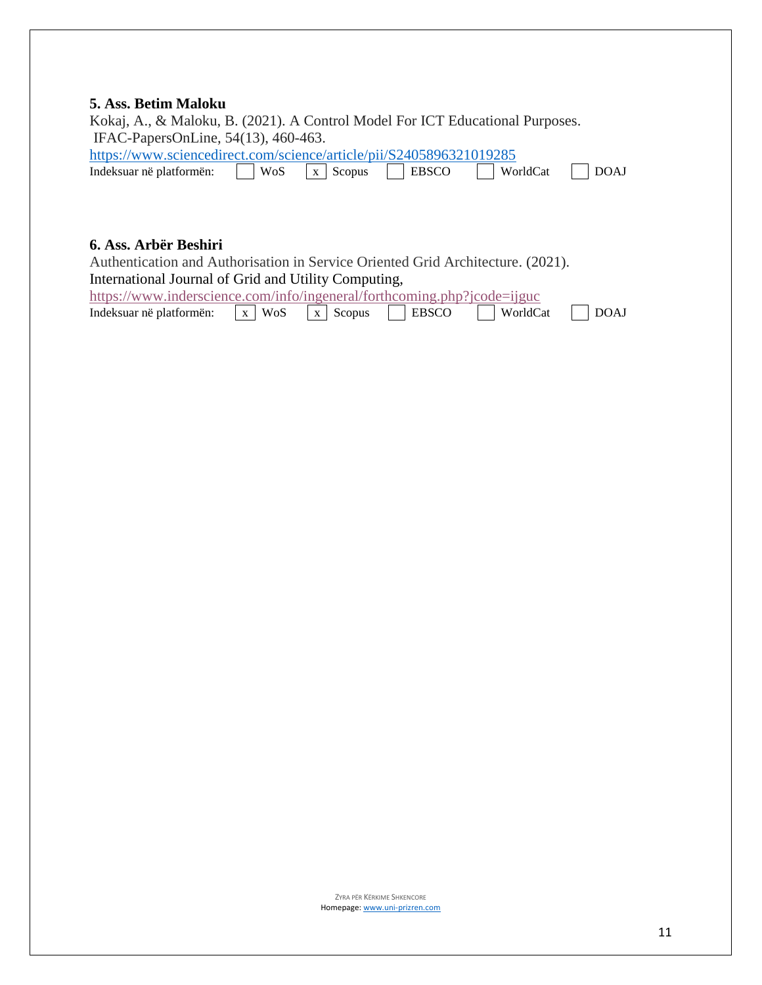#### **5. Ass. Betim Maloku**

| Kokaj, A., & Maloku, B. (2021). A Control Model For ICT Educational Purposes. |                                      |              |          |      |
|-------------------------------------------------------------------------------|--------------------------------------|--------------|----------|------|
| IFAC-PapersOnLine, 54(13), 460-463.                                           |                                      |              |          |      |
| https://www.sciencedirect.com/science/article/pii/S2405896321019285           |                                      |              |          |      |
| Indeksuar në platformën:                                                      | $\vert$ WoS $\vert$ x $\vert$ Scopus | <b>EBSCO</b> | WorldCat | DOAJ |

#### **6. Ass. Arbër Beshiri**

Authentication and Authorisation in Service Oriented Grid Architecture. (2021). International Journal of Grid and Utility Computing,

| https://www.inderscience.com/info/ingeneral/forthcoming.php?jcode=ijguc |  |              |          |      |
|-------------------------------------------------------------------------|--|--------------|----------|------|
| Indeksuar në platformën: $\vert x \vert$ WoS $\vert x \vert$ Scopus     |  | <b>EBSCO</b> | WorldCat | DOAJ |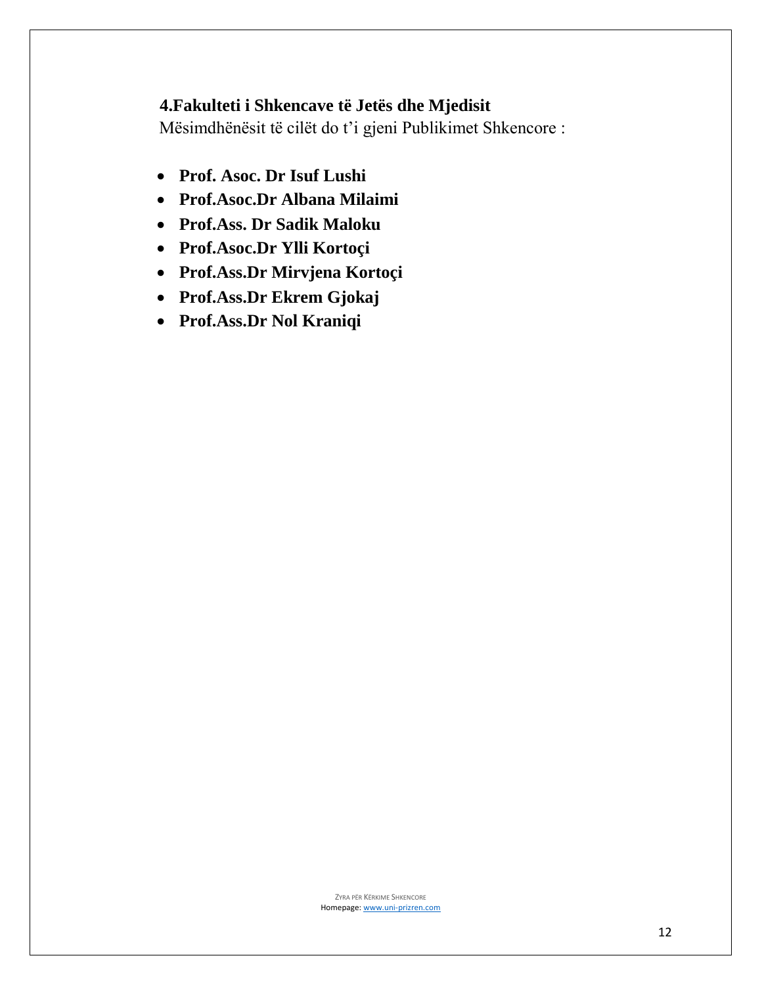## **4.Fakulteti i Shkencave të Jetës dhe Mjedisit**

Mësimdhënësit të cilët do t'i gjeni Publikimet Shkencore :

- **Prof. Asoc. Dr Isuf Lushi**
- **Prof.Asoc.Dr Albana Milaimi**
- **Prof.Ass. Dr Sadik Maloku**
- **Prof.Asoc.Dr Ylli Kortoçi**
- **Prof.Ass.Dr Mirvjena Kortoçi**
- **Prof.Ass.Dr Ekrem Gjokaj**
- **Prof.Ass.Dr Nol Kraniqi**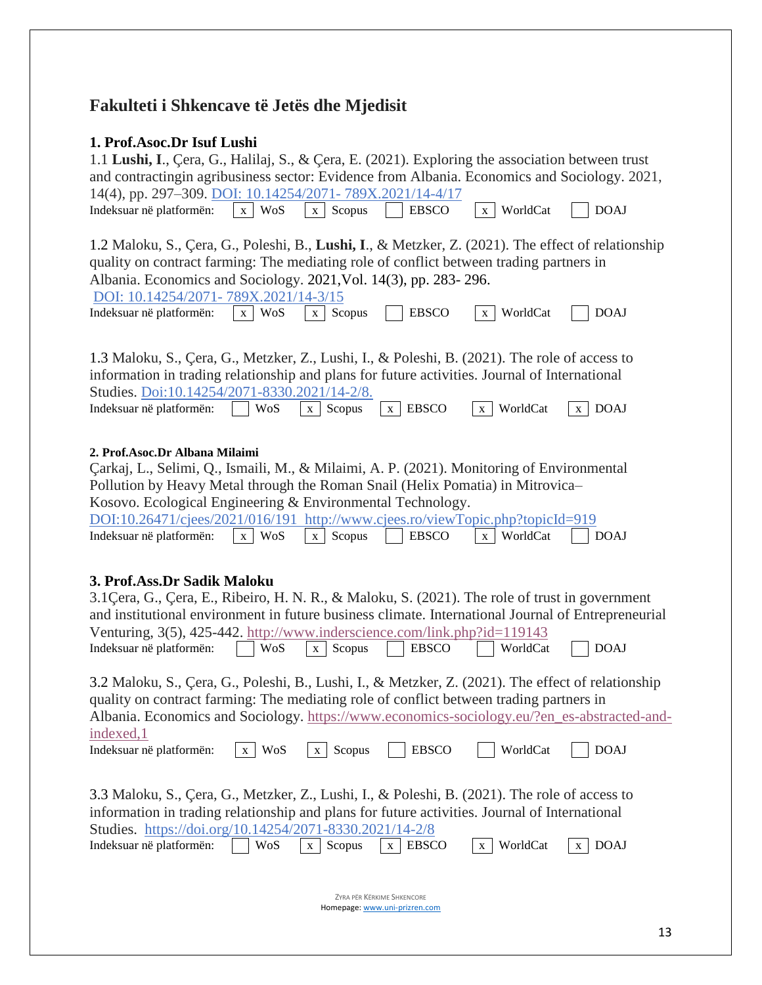# **Fakulteti i Shkencave të Jetës dhe Mjedisit**

### **1. Prof.Asoc.Dr Isuf Lushi**

| 1.1 Lushi, I., Çera, G., Halilaj, S., & Çera, E. (2021). Exploring the association between trust<br>and contractingin agribusiness sector: Evidence from Albania. Economics and Sociology. 2021,<br>14(4), pp. 297-309. DOI: 10.14254/2071-789X.2021/14-4/17                                                                                                                                                   |                     |                          |                            |                          |                  |  |
|----------------------------------------------------------------------------------------------------------------------------------------------------------------------------------------------------------------------------------------------------------------------------------------------------------------------------------------------------------------------------------------------------------------|---------------------|--------------------------|----------------------------|--------------------------|------------------|--|
| Indeksuar në platformën:                                                                                                                                                                                                                                                                                                                                                                                       | x WoS               | Scopus<br>$\mathbf{X}^-$ | <b>EBSCO</b>               | WorldCat<br>X            | <b>DOAJ</b>      |  |
| 1.2 Maloku, S., Çera, G., Poleshi, B., Lushi, I., & Metzker, Z. (2021). The effect of relationship<br>quality on contract farming: The mediating role of conflict between trading partners in<br>Albania. Economics and Sociology. 2021, Vol. 14(3), pp. 283-296.<br>DOI: 10.14254/2071-789X.2021/14-3/15<br>Indeksuar në platformën:                                                                          | WoS<br>X            | Scopus<br>X              | <b>EBSCO</b>               | WorldCat<br>$\mathbf{X}$ | <b>DOAJ</b>      |  |
| 1.3 Maloku, S., Çera, G., Metzker, Z., Lushi, I., & Poleshi, B. (2021). The role of access to<br>information in trading relationship and plans for future activities. Journal of International<br>Studies. Doi:10.14254/2071-8330.2021/14-2/8.<br>Indeksuar në platformën:                                                                                                                                     | <b>WoS</b>          | Scopus<br>X              | $x$ EBSCO                  | WorldCat<br>X            | <b>DOAJ</b><br>X |  |
| 2. Prof.Asoc.Dr Albana Milaimi<br>Çarkaj, L., Selimi, Q., Ismaili, M., & Milaimi, A. P. (2021). Monitoring of Environmental<br>Pollution by Heavy Metal through the Roman Snail (Helix Pomatia) in Mitrovica-<br>Kosovo. Ecological Engineering & Environmental Technology.<br>DOI:10.26471/cjees/2021/016/191 http://www.cjees.ro/viewTopic.php?topicId=919<br>Indeksuar në platformën:                       | WoS<br>$\mathbf{X}$ | Scopus<br>$\mathbf{X}$   | <b>EBSCO</b>               | WorldCat<br>X            | <b>DOAJ</b>      |  |
| 3. Prof.Ass.Dr Sadik Maloku<br>3.1 Cera, G., Cera, E., Ribeiro, H. N. R., & Maloku, S. (2021). The role of trust in government<br>and institutional environment in future business climate. International Journal of Entrepreneurial<br>Venturing, 3(5), 425-442. http://www.inderscience.com/link.php?id=119143<br>WoS<br>Indeksuar në platformën:<br>Scopus<br><b>EBSCO</b><br>WorldCat<br><b>DOAJ</b><br>X  |                     |                          |                            |                          |                  |  |
| 3.2 Maloku, S., Çera, G., Poleshi, B., Lushi, I., & Metzker, Z. (2021). The effect of relationship<br>quality on contract farming: The mediating role of conflict between trading partners in<br>Albania. Economics and Sociology. https://www.economics-sociology.eu/?en_es-abstracted-and-<br>indexed, 1<br>Indeksuar në platformën:                                                                         | x WoS               | $x \mid$ Scopus          | <b>EBSCO</b>               | WorldCat                 | <b>DOAJ</b>      |  |
| 3.3 Maloku, S., Çera, G., Metzker, Z., Lushi, I., & Poleshi, B. (2021). The role of access to<br>information in trading relationship and plans for future activities. Journal of International<br>Studies. https://doi.org/10.14254/2071-8330.2021/14-2/8<br><b>WoS</b><br>WorldCat<br>Indeksuar në platformën:<br>Scopus<br><b>EBSCO</b><br><b>DOAJ</b><br>$\mathbf{X}$<br>$\mathbf{X}$<br>$\mathbf{X}$<br>X. |                     |                          |                            |                          |                  |  |
|                                                                                                                                                                                                                                                                                                                                                                                                                |                     |                          | ZYRA PËR KËRKIME SHKENCORE |                          |                  |  |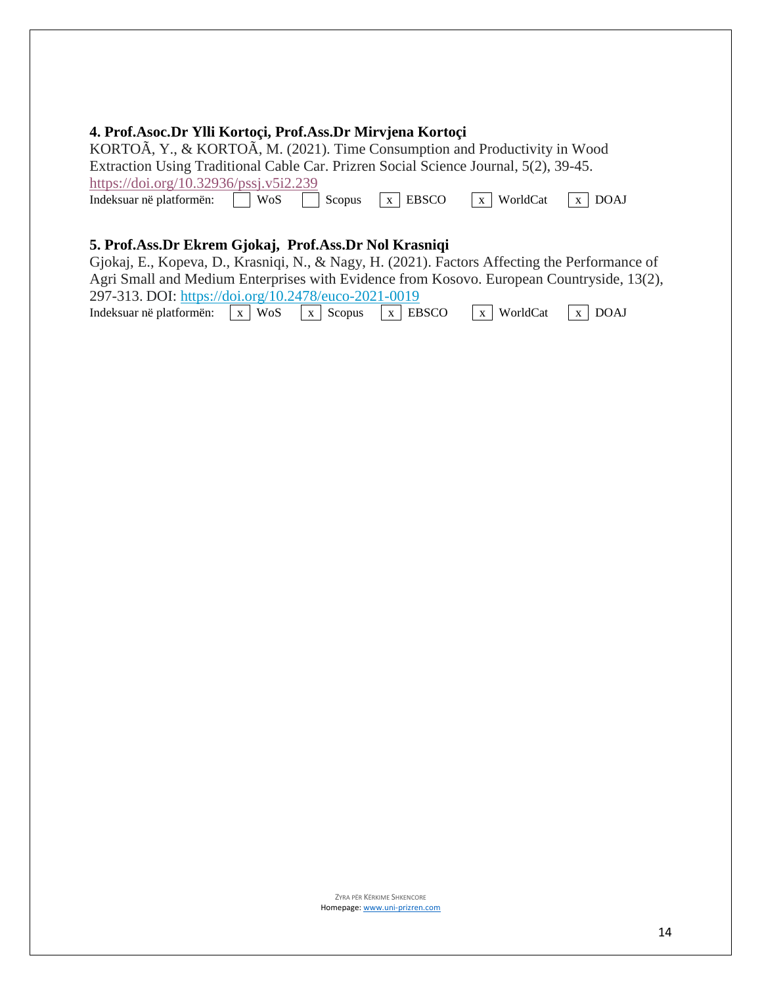#### **4. Prof.Asoc.Dr Ylli Kortoçi, Prof.Ass.Dr Mirvjena Kortoçi**

KORTOÃ, Y., & KORTOÃ, M. (2021). Time Consumption and Productivity in Wood Extraction Using Traditional Cable Car. Prizren Social Science Journal, 5(2), 39-45. <https://doi.org/10.32936/pssj.v5i2.239> Indeksuar në platformën: WoS Scopus x EBSCO x WorldCat x DOAJ

#### **5. Prof.Ass.Dr Ekrem Gjokaj, Prof.Ass.Dr Nol Krasniqi**

Gjokaj, E., Kopeva, D., Krasniqi, N., & Nagy, H. (2021). Factors Affecting the Performance of Agri Small and Medium Enterprises with Evidence from Kosovo. European Countryside, 13(2), 297-313. DOI: <https://doi.org/10.2478/euco-2021-0019> Indeksuar në platformën:  $\overline{x}$  WoS  $\overline{x}$  Scopus  $\overline{x}$  EBSCO  $\overline{x}$  WorldCat  $\overline{x}$  DOAJ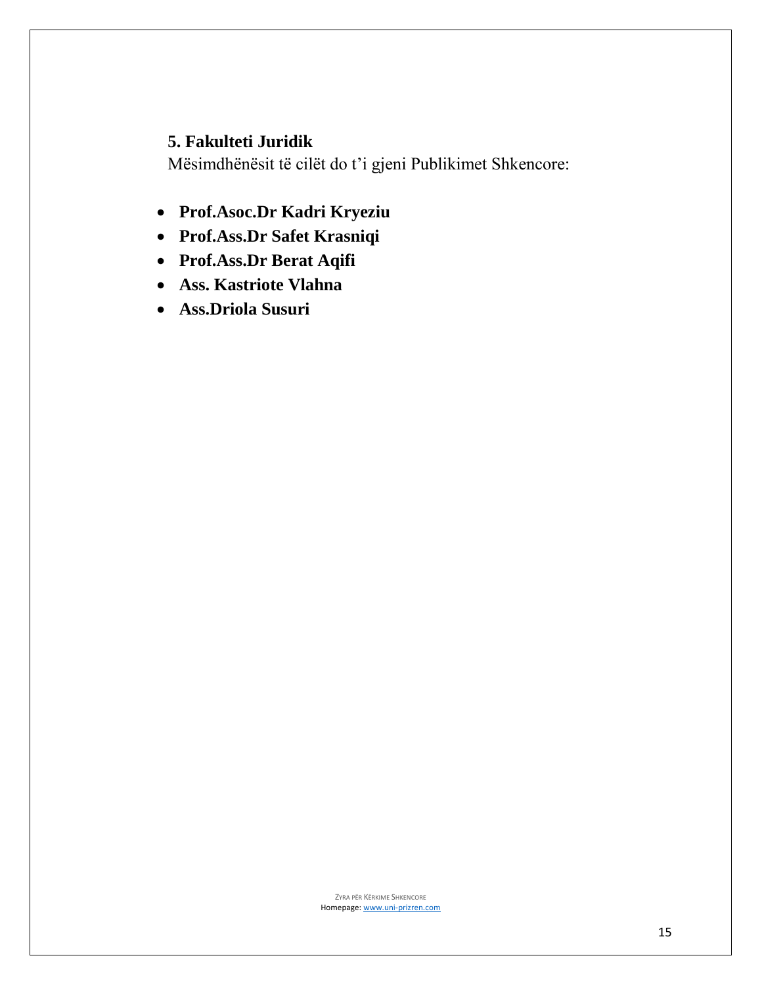### **5. Fakulteti Juridik**

Mësimdhënësit të cilët do t'i gjeni Publikimet Shkencore:

- **Prof.Asoc.Dr Kadri Kryeziu**
- **Prof.Ass.Dr Safet Krasniqi**
- **Prof.Ass.Dr Berat Aqifi**
- **Ass. Kastriote Vlahna**
- **Ass.Driola Susuri**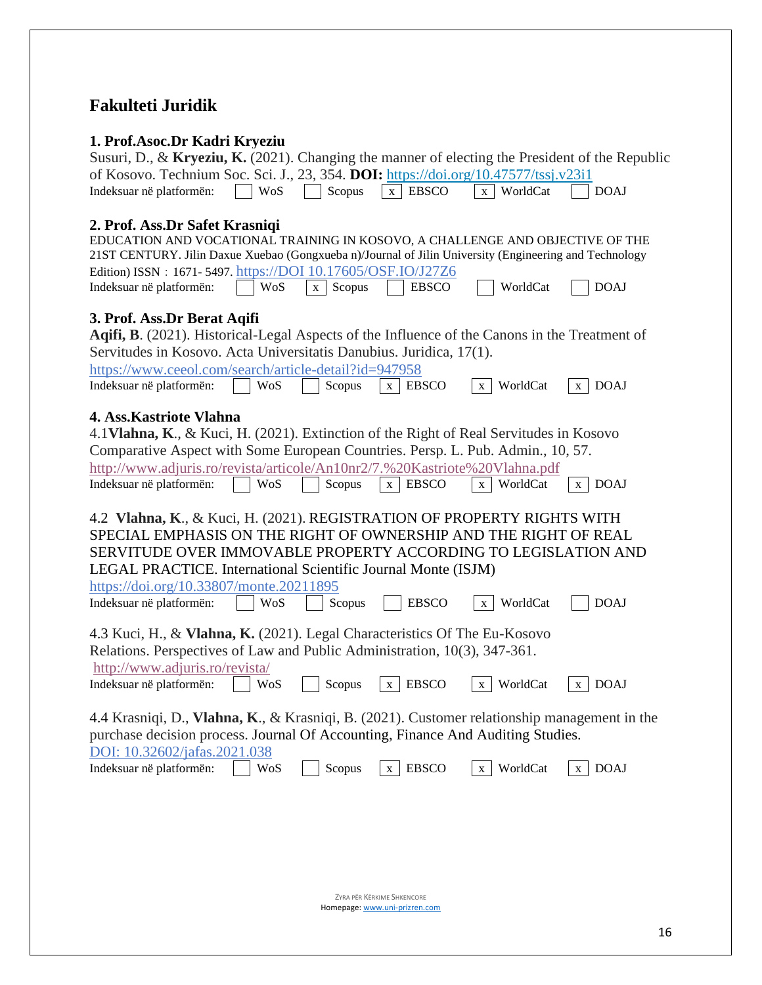## **Fakulteti Juridik**

### **1. Prof.Asoc.Dr Kadri Kryeziu**

| Susuri, D., & Kryeziu, K. (2021). Changing the manner of electing the President of the Republic                                                                                                                                                                                                                                                                                  |            |        |                               |                          |                             |  |  |
|----------------------------------------------------------------------------------------------------------------------------------------------------------------------------------------------------------------------------------------------------------------------------------------------------------------------------------------------------------------------------------|------------|--------|-------------------------------|--------------------------|-----------------------------|--|--|
| of Kosovo. Technium Soc. Sci. J., 23, 354. DOI: https://doi.org/10.47577/tssj.v23i1                                                                                                                                                                                                                                                                                              |            |        |                               |                          |                             |  |  |
| Indeksuar në platformën:                                                                                                                                                                                                                                                                                                                                                         | <b>WoS</b> | Scopus | <b>EBSCO</b><br>X             | WorldCat<br>$\mathbf{X}$ | <b>DOAJ</b>                 |  |  |
| 2. Prof. Ass.Dr Safet Krasniqi<br>EDUCATION AND VOCATIONAL TRAINING IN KOSOVO, A CHALLENGE AND OBJECTIVE OF THE<br>21ST CENTURY. Jilin Daxue Xuebao (Gongxueba n)/Journal of Jilin University (Engineering and Technology<br>Edition) ISSN: 1671-5497. https://DOI 10.17605/OSF.IO/J27Z6<br>Indeksuar në platformën:<br>WoS<br><b>EBSCO</b><br>WorldCat<br><b>DOAJ</b><br>Scopus |            |        |                               |                          |                             |  |  |
|                                                                                                                                                                                                                                                                                                                                                                                  |            | X      |                               |                          |                             |  |  |
| 3. Prof. Ass.Dr Berat Aqifi<br>Aqifi, B. (2021). Historical-Legal Aspects of the Influence of the Canons in the Treatment of<br>Servitudes in Kosovo. Acta Universitatis Danubius. Juridica, 17(1).<br>https://www.ceeol.com/search/article-detail?id=947958<br>Indeksuar në platformën:                                                                                         | WoS        | Scopus | <b>EBSCO</b><br>X             | WorldCat<br>$\mathbf{X}$ | <b>DOAJ</b><br>X            |  |  |
| 4. Ass. Kastriote Vlahna                                                                                                                                                                                                                                                                                                                                                         |            |        |                               |                          |                             |  |  |
| 4.1 Vlahna, K., & Kuci, H. (2021). Extinction of the Right of Real Servitudes in Kosovo                                                                                                                                                                                                                                                                                          |            |        |                               |                          |                             |  |  |
| Comparative Aspect with Some European Countries. Persp. L. Pub. Admin., 10, 57.<br>http://www.adjuris.ro/revista/articole/An10nr2/7.%20Kastriote%20Vlahna.pdf                                                                                                                                                                                                                    |            |        |                               |                          |                             |  |  |
| Indeksuar në platformën:                                                                                                                                                                                                                                                                                                                                                         | WoS        | Scopus | <b>EBSCO</b><br>$\mathbf X$   | WorldCat<br>$\mathbf X$  | <b>DOAJ</b><br>$\mathbf{X}$ |  |  |
| 4.2 Vlahna, K., & Kuci, H. (2021). REGISTRATION OF PROPERTY RIGHTS WITH<br>SPECIAL EMPHASIS ON THE RIGHT OF OWNERSHIP AND THE RIGHT OF REAL<br>SERVITUDE OVER IMMOVABLE PROPERTY ACCORDING TO LEGISLATION AND<br>LEGAL PRACTICE. International Scientific Journal Monte (ISJM)<br>https://doi.org/10.33807/monte.20211895                                                        |            |        |                               |                          |                             |  |  |
| Indeksuar në platformën:                                                                                                                                                                                                                                                                                                                                                         | WoS        | Scopus | <b>EBSCO</b>                  | WorldCat<br>$\mathbf{X}$ | <b>DOAJ</b>                 |  |  |
| 4.3 Kuci, H., & Vlahna, K. (2021). Legal Characteristics Of The Eu-Kosovo<br>Relations. Perspectives of Law and Public Administration, 10(3), 347-361.<br>http://www.adjuris.ro/revista/                                                                                                                                                                                         |            |        |                               |                          |                             |  |  |
| Indeksuar në platformën:                                                                                                                                                                                                                                                                                                                                                         | WoS        | Scopus | <b>EBSCO</b><br>$\mathbf{X}$  | WorldCat<br>X            | <b>DOAJ</b><br>X            |  |  |
| 4.4 Krasniqi, D., Vlahna, K., & Krasniqi, B. (2021). Customer relationship management in the<br>purchase decision process. Journal Of Accounting, Finance And Auditing Studies.<br>DOI: 10.32602/jafas.2021.038                                                                                                                                                                  |            |        |                               |                          |                             |  |  |
| Indeksuar në platformën:                                                                                                                                                                                                                                                                                                                                                         | WoS        | Scopus | <b>EBSCO</b><br>X             | WorldCat<br>$\mathbf{X}$ | <b>DOAJ</b><br>X            |  |  |
|                                                                                                                                                                                                                                                                                                                                                                                  |            |        |                               |                          |                             |  |  |
| ZYRA PËR KËRKIME SHKENCORE                                                                                                                                                                                                                                                                                                                                                       |            |        |                               |                          |                             |  |  |
|                                                                                                                                                                                                                                                                                                                                                                                  |            |        | Homepage: www.uni-prizren.com |                          |                             |  |  |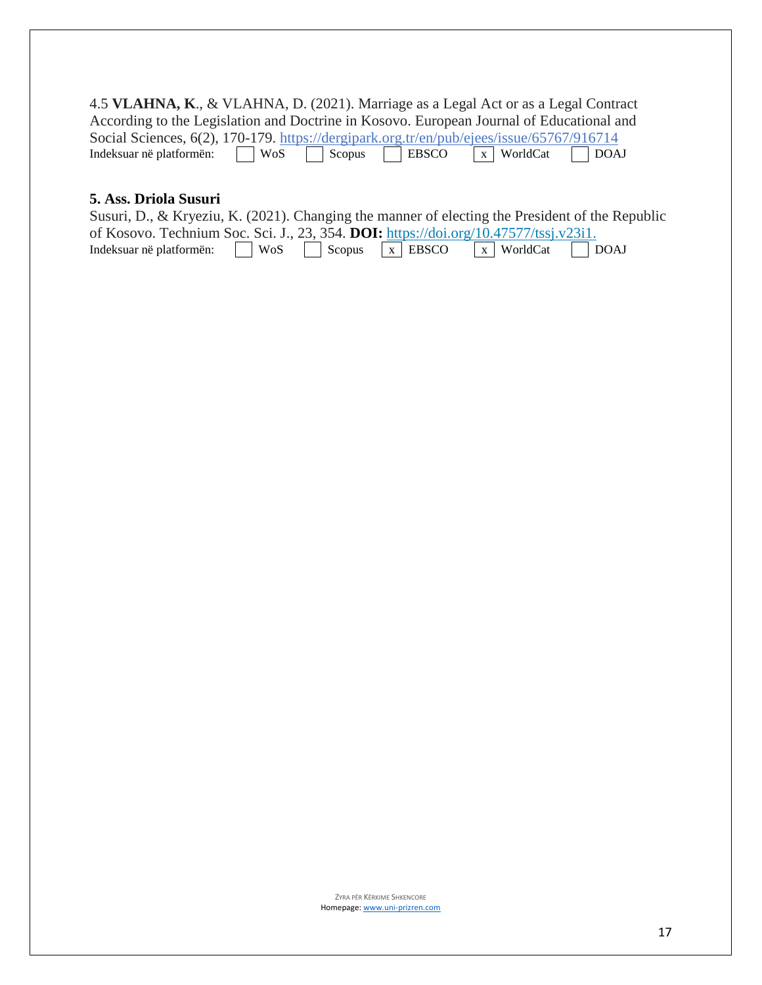4.5 **VLAHNA, K**., & VLAHNA, D. (2021). Marriage as a Legal Act or as a Legal Contract According to the Legislation and Doctrine in Kosovo. European Journal of Educational and Social Sciences, 6(2), 170-179. https://dergipark.org.tr/en/pub/ejees/issue/65767/916714<br>Indeksuar në platformën:  $\sqrt{\frac{W \cdot S}{\sqrt{S}} \cdot \frac{S}{\sqrt{S}}}$  Scopus  $\sqrt{\frac{W \cdot S}{\sqrt{S}}}$  WorldCat  $\sqrt{\frac{W}{\sqrt{S}}}$  DOAJ Indeksuar në platformën:

#### **5. Ass. Driola Susuri**

| Susuri, D., & Kryeziu, K. (2021). Changing the manner of electing the President of the Republic |  |  |  |  |  |
|-------------------------------------------------------------------------------------------------|--|--|--|--|--|
| of Kosovo. Technium Soc. Sci. J., 23, 354. <b>DOI:</b> https://doi.org/10.47577/tssj.v23i1.     |  |  |  |  |  |
| Indeksuar në platformën: WoS Scopus $\overline{x}$ EBSCO $\overline{x}$ WorldCat DOAJ           |  |  |  |  |  |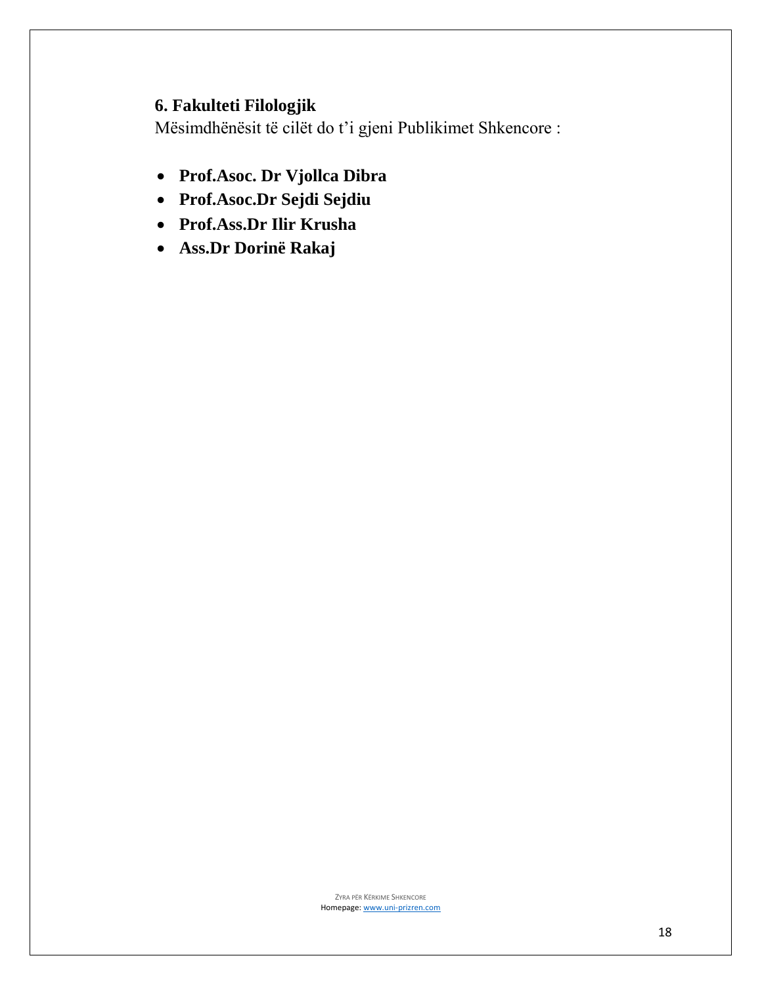## **6. Fakulteti Filologjik**

Mësimdhënësit të cilët do t'i gjeni Publikimet Shkencore :

- **Prof.Asoc. Dr Vjollca Dibra**
- **Prof.Asoc.Dr Sejdi Sejdiu**
- **Prof.Ass.Dr Ilir Krusha**
- **Ass.Dr Dorinë Rakaj**